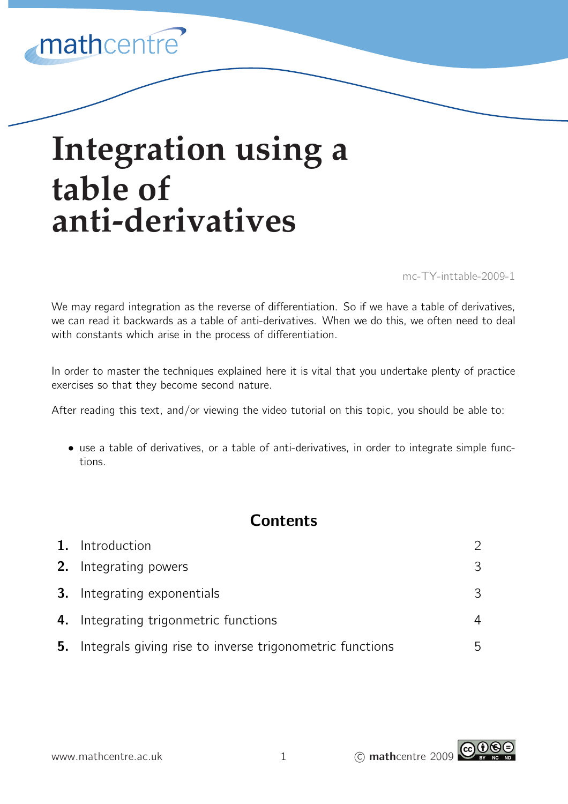## mathcentre

# **Integration using a table of anti-derivatives**

mc-TY-inttable-2009-1

We may regard integration as the reverse of differentiation. So if we have a table of derivatives, we can read it backwards as a table of anti-derivatives. When we do this, we often need to deal with constants which arise in the process of differentiation.

In order to master the techniques explained here it is vital that you undertake plenty of practice exercises so that they become second nature.

After reading this text, and/or viewing the video tutorial on this topic, you should be able to:

• use a table of derivatives, or a table of anti-derivatives, in order to integrate simple functions.

## **Contents**

|    | 1. Introduction                                          |  |
|----|----------------------------------------------------------|--|
|    | 2. Integrating powers                                    |  |
|    | <b>3.</b> Integrating exponentials                       |  |
|    | 4. Integrating trigonmetric functions                    |  |
| 5. | Integrals giving rise to inverse trigonometric functions |  |

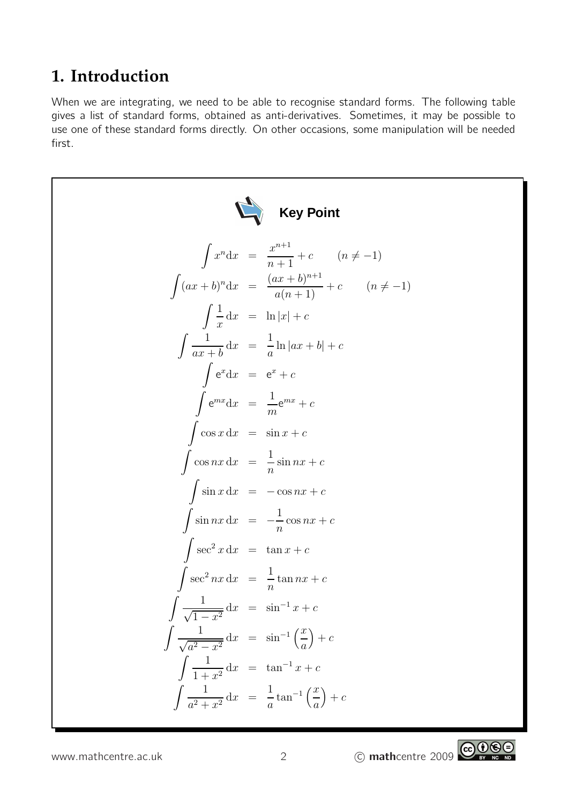## **1. Introduction**

When we are integrating, we need to be able to recognise standard forms. The following table gives a list of standard forms, obtained as anti-derivatives. Sometimes, it may be possible to use one of these standard forms directly. On other occasions, some manipulation will be needed first.



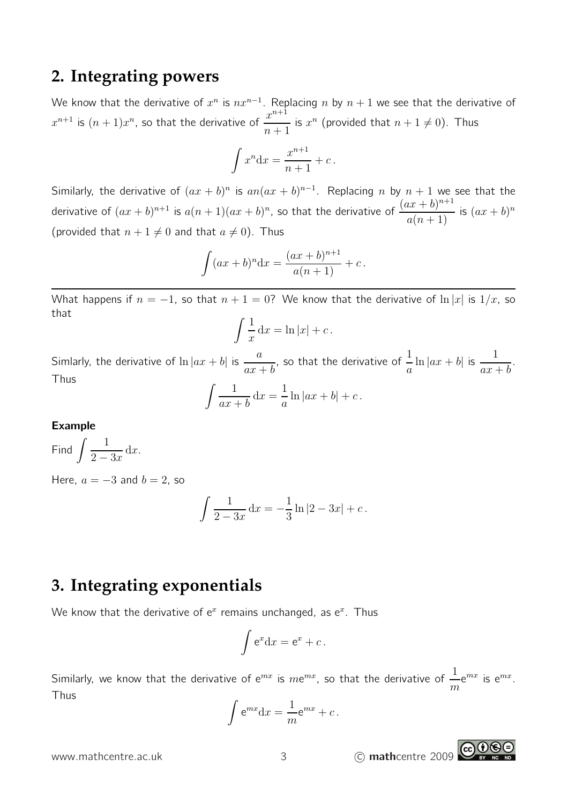### **2. Integrating powers**

We know that the derivative of  $x^n$  is  $nx^{n-1}$ . Replacing  $n$  by  $n+1$  we see that the derivative of  $x^{n+1}$  is  $(n+1)x^n$ , so that the derivative of  $\frac{x^{n+1}}{n+1}$  $n+1$ is  $x^n$  (provided that  $n + 1 \neq 0$ ). Thus

$$
\int x^n \mathrm{d}x = \frac{x^{n+1}}{n+1} + c \, .
$$

Similarly, the derivative of  $(ax + b)^n$  is  $an(ax + b)^{n-1}$ . Replacing n by  $n + 1$  we see that the derivative of  $(ax + b)^{n+1}$  is  $a(n + 1)(ax + b)^n$ , so that the derivative of  $\frac{(ax + b)^{n+1}}{(a+b)^n}$  $\frac{ax + b}{a(n+1)}$  is  $(ax + b)^n$ (provided that  $n + 1 \neq 0$  and that  $a \neq 0$ ). Thus

$$
\int (ax+b)^n dx = \frac{(ax+b)^{n+1}}{a(n+1)} + c.
$$

What happens if  $n = -1$ , so that  $n + 1 = 0$ ? We know that the derivative of  $\ln |x|$  is  $1/x$ , so that

$$
\int \frac{1}{x} \, \mathrm{d}x = \ln|x| + c \, .
$$

Simlarly, the derivative of  $\ln|ax+b|$  is  $\frac{a}{ax+b}$ , so that the derivative of  $\frac{1}{-}$  $\frac{1}{a} \ln |ax + b|$  is  $\frac{1}{ax + b}$ . Thus  $\int$  1  $ax + b$  $dx =$ 1  $\frac{1}{a}\ln|ax+b|+c$ .

Example

Find 
$$
\int \frac{1}{2-3x} \, \mathrm{d}x.
$$

Here,  $a = -3$  and  $b = 2$ , so

$$
\int \frac{1}{2-3x} \, \mathrm{d}x = -\frac{1}{3} \ln|2 - 3x| + c \, .
$$

## **3. Integrating exponentials**

We know that the derivative of  $e^x$  remains unchanged, as  $e^x$ . Thus

$$
\int e^x dx = e^x + c.
$$

Similarly, we know that the derivative of  $\mathrm{e}^{mx}$  is  $m\mathrm{e}^{mx}$ , so that the derivative of  $\frac{1}{\tau}$ m  $e^{mx}$  is  $e^{mx}$ . Thus

$$
\int e^{mx} dx = \frac{1}{m}e^{mx} + c.
$$

www.mathcentre.ac.uk 3 C mathcentre 2009

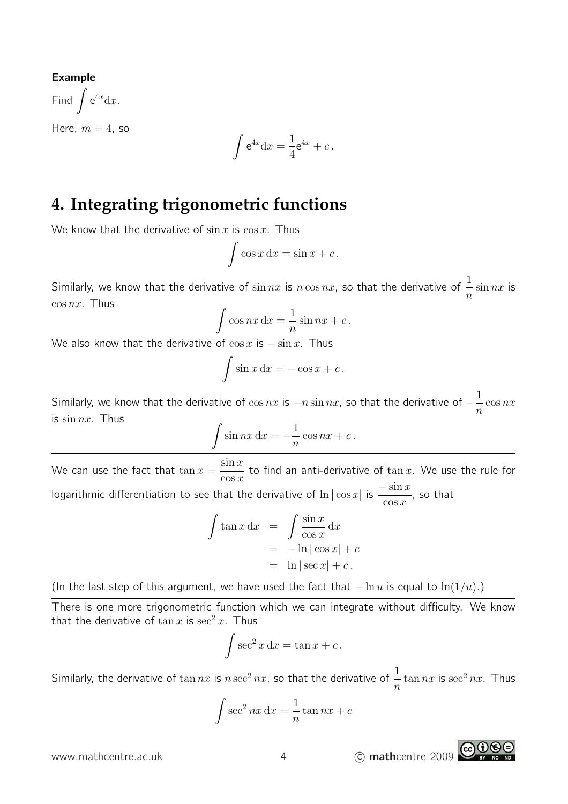#### Example

Find  $\int e^{4x} dx$ . Here,  $m = 4$ , so

$$
\int e^{4x} dx = \frac{1}{4}e^{4x} + c.
$$

## **4. Integrating trigonometric functions**

We know that the derivative of  $\sin x$  is  $\cos x$ . Thus

$$
\int \cos x \, dx = \sin x + c \, .
$$

Similarly, we know that the derivative of  $\sin nx$  is  $n\cos nx$ , so that the derivative of  $\frac{1}{n}$  $\overline{n}$  $\sin nx$  is  $\cos nx$ . Thus

$$
\int \cos nx \, dx = \frac{1}{n} \sin nx + c \, .
$$

We also know that the derivative of  $\cos x$  is  $-\sin x$ . Thus

$$
\int \sin x \, dx = -\cos x + c \, .
$$

Similarly, we know that the derivative of  $\cos nx$  is  $-n\sin nx$ , so that the derivative of  $-\frac{1}{n}$ n  $\cos nx$ is  $\sin nx$ . Thus

$$
\int \sin nx \, dx = -\frac{1}{n} \cos nx + c \, .
$$

We can use the fact that  $\tan x = \frac{\sin x}{x}$  $\cos x$ to find an anti-derivative of  $\tan x$ . We use the rule for logarithmic differentiation to see that the derivative of  $\ln|\cos x|$  is  $\frac{-\sin x}{\cos x}$ , so that

$$
\int \tan x \, dx = \int \frac{\sin x}{\cos x} \, dx
$$
  
= -\ln |\cos x| + c  
= \ln |\sec x| + c.

(In the last step of this argument, we have used the fact that  $-\ln u$  is equal to  $\ln(1/u)$ .)

There is one more trigonometric function which we can integrate without difficulty. We know that the derivative of  $\tan x$  is  $\sec^2 x$ . Thus

$$
\int \sec^2 x \, dx = \tan x + c \, .
$$

Similarly, the derivative of  $\tan nx$  is  $n\sec^2 nx$ , so that the derivative of  $\frac{1}{n}$  $\overline{n}$  $\tan nx$  is  $\sec^2 nx$ . Thus

$$
\int \sec^2 nx \, dx = \frac{1}{n} \tan nx + c
$$

www.mathcentre.ac.uk  $\begin{array}{ccc} 4 & \text{(c) }\text{math} \end{array}$  (c) mathcentre 2009

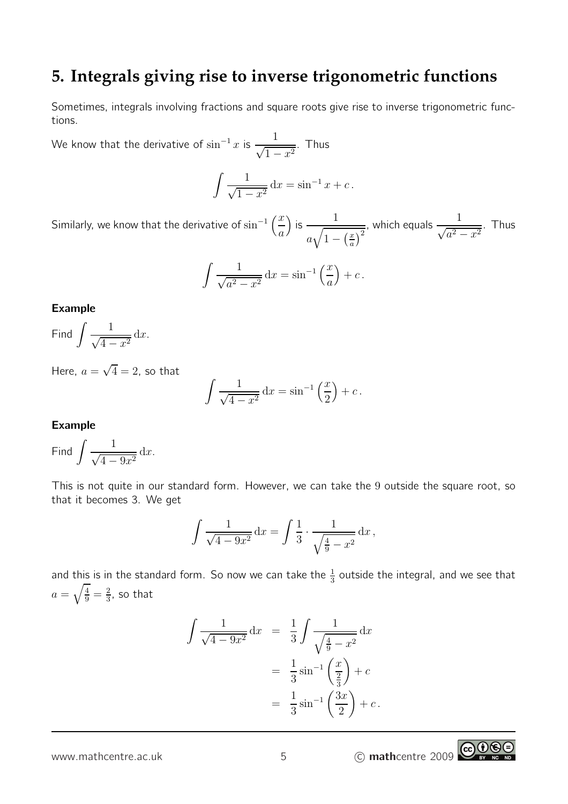## **5. Integrals giving rise to inverse trigonometric functions**

Sometimes, integrals involving fractions and square roots give rise to inverse trigonometric functions.

We know that the derivative of  $\sin^{-1} x$  is  $\frac{1}{\sqrt{1-x^2}}$ . Thus

$$
\int \frac{1}{\sqrt{1-x^2}} dx = \sin^{-1} x + c.
$$

Similarly, we know that the derivative of  $\sin^{-1}\left(\frac{x}{x}\right)$ a ) is  $\frac{1}{\sqrt{1-\frac{1}{1-\frac{1}{1-\frac{1}{1-\frac{1}{1-\frac{1}{1-\frac{1}{1-\frac{1}{1-\frac{1}{1-\frac{1}{1-\frac{1}{1-\frac{1}{1-\frac{1}{1-\frac{1}{1-\frac{1}{1-\frac{1}{1-\frac{1}{1-\frac{1}{1-\frac{1}{1-\frac{1}{1-\frac{1}{1-\frac{1}{1-\frac{1}{1-\frac{1}{1-\frac{1}{1-\frac{1}{1-\frac{1}{1-\frac{1}{1-\frac{1}{1-\frac{1}{1-\frac{1}{1-\frac{1}{1-\frac{1}{1-\frac{1}{1-\frac{1}{1-\frac$  $a\sqrt{1-\left(\frac{x}{a}\right)}$  $\left(\frac{x}{a}\right)^2$ , which equals  $\frac{1}{\sqrt{a^2-x^2}}$ . Thus

$$
\int \frac{1}{\sqrt{a^2 - x^2}} dx = \sin^{-1}\left(\frac{x}{a}\right) + c.
$$

Example

Find 
$$
\int \frac{1}{\sqrt{4-x^2}} \, \mathrm{d}x.
$$

Here,  $a=\sqrt{4}=2$ , so that

$$
\int \frac{1}{\sqrt{4 - x^2}} dx = \sin^{-1}\left(\frac{x}{2}\right) + c.
$$

#### Example

Find 
$$
\int \frac{1}{\sqrt{4 - 9x^2}} \, \mathrm{d}x.
$$

This is not quite in our standard form. However, we can take the 9 outside the square root, so that it becomes 3. We get

$$
\int \frac{1}{\sqrt{4 - 9x^2}} dx = \int \frac{1}{3} \cdot \frac{1}{\sqrt{\frac{4}{9} - x^2}} dx,
$$

and this is in the standard form. So now we can take the  $\frac{1}{3}$  outside the integral, and we see that  $a = \sqrt{\frac{4}{9}} = \frac{2}{3}$  $\frac{2}{3}$ , so that

$$
\int \frac{1}{\sqrt{4 - 9x^2}} dx = \frac{1}{3} \int \frac{1}{\sqrt{\frac{4}{9} - x^2}} dx
$$
  
=  $\frac{1}{3} \sin^{-1} \left(\frac{x}{\frac{2}{3}}\right) + c$   
=  $\frac{1}{3} \sin^{-1} \left(\frac{3x}{2}\right) + c$ .

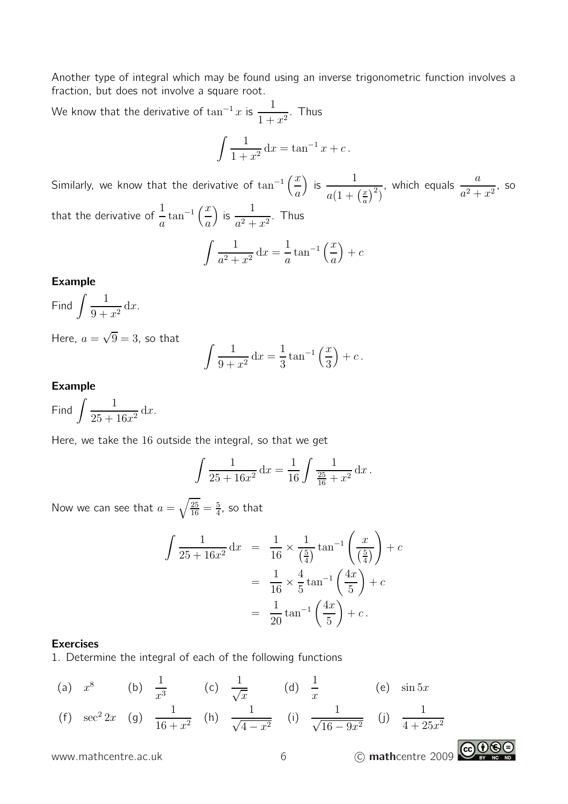Another type of integral which may be found using an inverse trigonometric function involves a fraction, but does not involve a square root.

We know that the derivative of  $\tan^{-1}x$  is  $\frac{1}{1+x}$  $\frac{1}{1+x^2}$ . Thus

$$
\int \frac{1}{1+x^2} \, \mathrm{d}x = \tan^{-1} x + c \, .
$$

Similarly, we know that the derivative of  $\tan^{-1}\left(\frac{x}{x}\right)$ a ) is  $\frac{1}{\cdot}$  $a(1+\left(\frac{x}{a}\right)$  $\left(\frac{x}{a}\right)^2$ , which equals  $\frac{a}{a}$  $\frac{a}{a^2+x^2}$ , so that the derivative of  $\frac{1}{-}$ a  $\tan^{-1}\left(\frac{x}{x}\right)$ a ) is  $\frac{1}{2}$  $\frac{1}{a^2+x^2}$ . Thus

$$
\int \frac{1}{a^2 + x^2} dx = \frac{1}{a} \tan^{-1} \left(\frac{x}{a}\right) + c
$$

#### Example

Find  $\int \frac{1}{2}$ 

 $\frac{1}{9+x^2} dx$ . Here,  $a=\sqrt{9}=3$ , so that

$$
\int \frac{1}{9+x^2} dx = \frac{1}{3} \tan^{-1} \left( \frac{x}{3} \right) + c \, .
$$

#### Example

Find  $\int \frac{1}{25}$  $\frac{1}{25 + 16x^2} dx$ .

Here, we take the 16 outside the integral, so that we get

$$
\int \frac{1}{25 + 16x^2} dx = \frac{1}{16} \int \frac{1}{\frac{25}{16} + x^2} dx.
$$

Now we can see that  $a=\sqrt{\frac{25}{16}}=\frac{5}{4}$  $\frac{5}{4}$ , so that

$$
\int \frac{1}{25 + 16x^2} dx = \frac{1}{16} \times \frac{1}{(\frac{5}{4})} \tan^{-1} \left( \frac{x}{(\frac{5}{4})} \right) + c
$$

$$
= \frac{1}{16} \times \frac{4}{5} \tan^{-1} \left( \frac{4x}{5} \right) + c
$$

$$
= \frac{1}{20} \tan^{-1} \left( \frac{4x}{5} \right) + c.
$$

#### Exercises

1. Determine the integral of each of the following functions

(a) 
$$
x^8
$$
 (b)  $\frac{1}{x^3}$  (c)  $\frac{1}{\sqrt{x}}$  (d)  $\frac{1}{x}$  (e)  $\sin 5x$   
(f)  $\sec^2 2x$  (g)  $\frac{1}{16 + x^2}$  (h)  $\frac{1}{\sqrt{4 - x^2}}$  (i)  $\frac{1}{\sqrt{16 - 9x^2}}$  (j)  $\frac{1}{4 + 25x^2}$ 

www.mathcentre.ac.uk 6 c mathcentre 2009